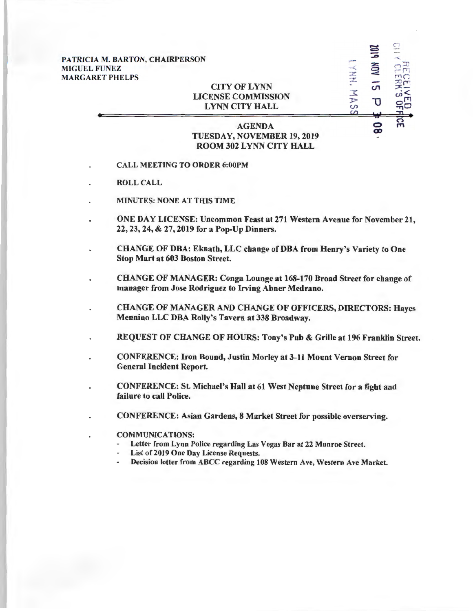| PATRICIA M. BARTON, CHAIRPERSON |
|---------------------------------|
| <b>MIGUEL FUNEZ</b>             |
| <b>MARGARET PHELPS</b>          |

## CITY OF LYNN LICENSE COMMISSION LYNN CITY HALL

## AGENDA TUESDAY, NOVEMBER 19, 2019 ROOM 302 LYNN CITY HALL

r-- -< *z*  z -

 $\Xi$ 

 $\sum_{\substack{m=1\\n\neq n}}^{\infty}$ 

 $\bullet$   $\mathbb{R}$ rTl

 $\mathbb{Z}$ m

 $\sum_{i=1}^{n}$ 

 $\,$   $\,$ ~

 $\overline{5}$ 

 $\overline{\mathtt{U}}$ 

00

 $\frac{1}{D}$ *U>* 

- CALL MEETING TO ORDER 6:00PM
- ROLL CALL
- MINUTES: NONE AT THIS TIME
- ONE DAY LICENSE: Uncommon Feast at 271 Western Avenue for November 21, 22, 23, 24, & 27, 2019 for a Pop-Up Dinners.
- CHANGE OF DBA: Eknath, LLC change of DBA from Henry's Variety to One Stop Mart at 603 Boston Street.
- CHANGE OF MANAGER: Conga Lounge at 168-170 Broad Street for change of manager from Jose Rodriguez to Irving Abner Medrano.
- CHANGE OF MANAGER AND CHANGE OF OFFICERS, DIRECTORS: Hayes Mennino LLC DBA Rolly's Tavern at 338 Broadway.
- REQUEST OF CHANGE OF HOURS: Tony's Pub & Grille at 196 Franklin Street.
- CONFERENCE: Iron Bound, Justin Morley at 3-11 Mount Vernon Street for General Incident Report.
- CONFERENCE: St. Michael's Hall at 61 West Neptune Street for a fight and failure to call Police.
- CONFERENCE: Asian Gardens, 8 Market Street for possible overserving.
	- COMMUNICATIONS:
		- Letter from Lynn Police regarding Las Vegas Bar at 22 Munroe Street.
		- List of 2019 One Day License Requests.
		- Decision letter from ABCC regarding 108 Western Ave, Western Ave Market.